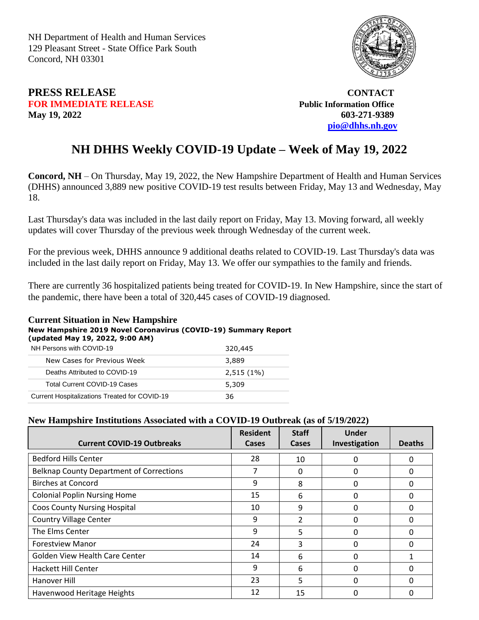NH Department of Health and Human Services 129 Pleasant Street - State Office Park South Concord, NH 03301



## **PRESS RELEASE CONTACT FOR IMMEDIATE RELEASE** *Public Information Office* **May 19, 2022 603-271-9389**

 **[pio@dhhs.nh.gov](file:///C:/Users/laura.m.montenegro/Desktop/COVID%2019%20Daily%20Press%20Releases/pio@dhhs.nh.gov)**

## **NH DHHS Weekly COVID-19 Update – Week of May 19, 2022**

**Concord, NH** – On Thursday, May 19, 2022, the New Hampshire Department of Health and Human Services (DHHS) announced 3,889 new positive COVID-19 test results between Friday, May 13 and Wednesday, May 18.

Last Thursday's data was included in the last daily report on Friday, May 13. Moving forward, all weekly updates will cover Thursday of the previous week through Wednesday of the current week.

For the previous week, DHHS announce 9 additional deaths related to COVID-19. Last Thursday's data was included in the last daily report on Friday, May 13. We offer our sympathies to the family and friends.

There are currently 36 hospitalized patients being treated for COVID-19. In New Hampshire, since the start of the pandemic, there have been a total of 320,445 cases of COVID-19 diagnosed.

## **Current Situation in New Hampshire**

**New Hampshire 2019 Novel Coronavirus (COVID-19) Summary Report** 

| (updated May 19, 2022, 9:00 AM) |  |  |  |
|---------------------------------|--|--|--|
|                                 |  |  |  |

| NH Persons with COVID-19                      | 320,445      |
|-----------------------------------------------|--------------|
| New Cases for Previous Week                   | 3,889        |
| Deaths Attributed to COVID-19                 | $2,515(1\%)$ |
| <b>Total Current COVID-19 Cases</b>           | 5,309        |
| Current Hospitalizations Treated for COVID-19 | 36           |

## **New Hampshire Institutions Associated with a COVID-19 Outbreak (as of 5/19/2022)**

| <b>Current COVID-19 Outbreaks</b>               | <b>Resident</b><br>Cases | <b>Staff</b><br><b>Cases</b> | <b>Under</b><br>Investigation | <b>Deaths</b> |
|-------------------------------------------------|--------------------------|------------------------------|-------------------------------|---------------|
|                                                 |                          |                              |                               |               |
| <b>Bedford Hills Center</b>                     | 28                       | 10                           | 0                             | $\mathbf{0}$  |
| <b>Belknap County Department of Corrections</b> | 7                        | 0                            | 0                             | 0             |
| <b>Birches at Concord</b>                       | 9                        | 8                            | 0                             | 0             |
| <b>Colonial Poplin Nursing Home</b>             | 15                       | 6                            | $\Omega$                      | $\Omega$      |
| <b>Coos County Nursing Hospital</b>             | 10                       | 9                            | 0                             | 0             |
| <b>Country Village Center</b>                   | 9                        | $\overline{2}$               | $\Omega$                      | $\Omega$      |
| The Elms Center                                 | 9                        | 5                            | 0                             | 0             |
| <b>Forestview Manor</b>                         | 24                       | 3                            | 0                             | 0             |
| Golden View Health Care Center                  | 14                       | 6                            | $\Omega$                      | 1             |
| Hackett Hill Center                             | 9                        | 6                            | $\Omega$                      | $\Omega$      |
| Hanover Hill                                    | 23                       | 5                            | $\Omega$                      | $\Omega$      |
| Havenwood Heritage Heights                      | 12                       | 15                           | 0                             | 0             |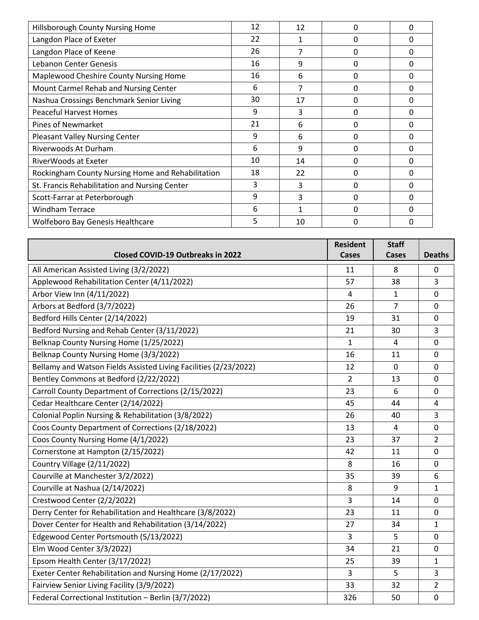| Hillsborough County Nursing Home                  | 12 | 12 | 0 | 0            |
|---------------------------------------------------|----|----|---|--------------|
| Langdon Place of Exeter                           | 22 | 1  | 0 | 0            |
| Langdon Place of Keene                            | 26 |    | 0 | 0            |
| Lebanon Center Genesis                            | 16 | 9  | 0 | 0            |
| Maplewood Cheshire County Nursing Home            | 16 | 6  | 0 | 0            |
| Mount Carmel Rehab and Nursing Center             | 6  | 7  | 0 | 0            |
| Nashua Crossings Benchmark Senior Living          | 30 | 17 | 0 | 0            |
| <b>Peaceful Harvest Homes</b>                     | 9  | 3  | 0 | 0            |
| <b>Pines of Newmarket</b>                         | 21 | 6  | 0 | 0            |
| <b>Pleasant Valley Nursing Center</b>             | 9  | 6  | 0 | 0            |
| Riverwoods At Durham                              | 6  | 9  | 0 | $\Omega$     |
| RiverWoods at Exeter                              | 10 | 14 | 0 | 0            |
| Rockingham County Nursing Home and Rehabilitation | 18 | 22 | 0 | <sup>0</sup> |
| St. Francis Rehabilitation and Nursing Center     | 3  | 3  | 0 | 0            |
| Scott-Farrar at Peterborough                      | 9  | 3  | 0 | 0            |
| <b>Windham Terrace</b>                            | 6  | 1  | 0 | 0            |
| <b>Wolfeboro Bay Genesis Healthcare</b>           | 5  | 10 | ŋ | 0            |

|                                                                  | <b>Resident</b> | <b>Staff</b>   |                |
|------------------------------------------------------------------|-----------------|----------------|----------------|
| <b>Closed COVID-19 Outbreaks in 2022</b>                         | Cases           | <b>Cases</b>   | <b>Deaths</b>  |
| All American Assisted Living (3/2/2022)                          | 11              | 8              | 0              |
| Applewood Rehabilitation Center (4/11/2022)                      | 57              | 38             | 3              |
| Arbor View Inn (4/11/2022)                                       | 4               | $\mathbf{1}$   | $\Omega$       |
| Arbors at Bedford (3/7/2022)                                     | 26              | $\overline{7}$ | $\mathbf 0$    |
| Bedford Hills Center (2/14/2022)                                 | 19              | 31             | $\mathbf 0$    |
| Bedford Nursing and Rehab Center (3/11/2022)                     | 21              | 30             | 3              |
| Belknap County Nursing Home (1/25/2022)                          | $\mathbf{1}$    | 4              | $\mathbf 0$    |
| Belknap County Nursing Home (3/3/2022)                           | 16              | 11             | 0              |
| Bellamy and Watson Fields Assisted Living Facilities (2/23/2022) | 12              | $\mathbf 0$    | 0              |
| Bentley Commons at Bedford (2/22/2022)                           | $\overline{2}$  | 13             | $\Omega$       |
| Carroll County Department of Corrections (2/15/2022)             | 23              | 6              | 0              |
| Cedar Healthcare Center (2/14/2022)                              | 45              | 44             | 4              |
| Colonial Poplin Nursing & Rehabilitation (3/8/2022)              | 26              | 40             | 3              |
| Coos County Department of Corrections (2/18/2022)                | 13              | $\overline{4}$ | $\mathbf 0$    |
| Coos County Nursing Home (4/1/2022)                              | 23              | 37             | $\overline{2}$ |
| Cornerstone at Hampton (2/15/2022)                               | 42              | 11             | $\mathbf 0$    |
| Country Village (2/11/2022)                                      | 8               | 16             | $\mathbf 0$    |
| Courville at Manchester 3/2/2022)                                | 35              | 39             | 6              |
| Courville at Nashua (2/14/2022)                                  | 8               | 9              | $\mathbf{1}$   |
| Crestwood Center (2/2/2022)                                      | 3               | 14             | $\mathbf 0$    |
| Derry Center for Rehabilitation and Healthcare (3/8/2022)        | 23              | 11             | $\mathbf 0$    |
| Dover Center for Health and Rehabilitation (3/14/2022)           | 27              | 34             | $\mathbf{1}$   |
| Edgewood Center Portsmouth (5/13/2022)                           | 3               | 5              | 0              |
| Elm Wood Center 3/3/2022)                                        | 34              | 21             | $\mathbf 0$    |
| Epsom Health Center (3/17/2022)                                  | 25              | 39             | $\mathbf{1}$   |
| Exeter Center Rehabilitation and Nursing Home (2/17/2022)        | $\overline{3}$  | 5              | 3              |
| Fairview Senior Living Facility (3/9/2022)                       | 33              | 32             | 2              |
| Federal Correctional Institution - Berlin (3/7/2022)             | 326             | 50             | $\mathbf 0$    |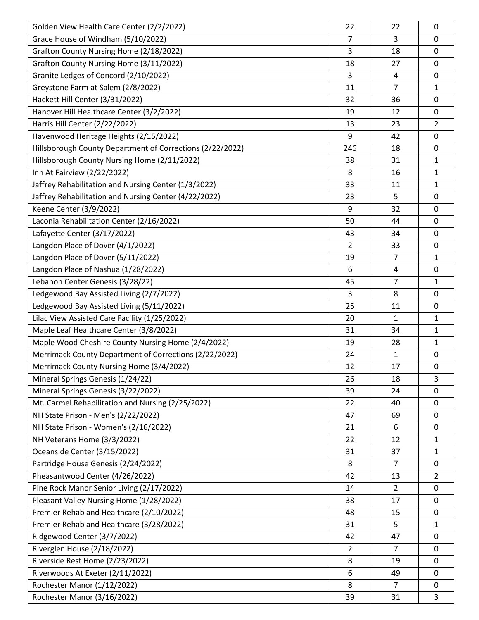| Golden View Health Care Center (2/2/2022)                 | 22             | 22             | $\mathbf 0$    |
|-----------------------------------------------------------|----------------|----------------|----------------|
| Grace House of Windham (5/10/2022)                        | $\overline{7}$ | 3              | 0              |
| Grafton County Nursing Home (2/18/2022)                   | 3              | 18             | 0              |
| Grafton County Nursing Home (3/11/2022)                   | 18             | 27             | 0              |
| Granite Ledges of Concord (2/10/2022)                     | 3              | 4              | 0              |
| Greystone Farm at Salem (2/8/2022)                        | 11             | $\overline{7}$ | 1              |
| Hackett Hill Center (3/31/2022)                           | 32             | 36             | 0              |
| Hanover Hill Healthcare Center (3/2/2022)                 | 19             | 12             | $\mathbf 0$    |
| Harris Hill Center (2/22/2022)                            | 13             | 23             | $\overline{2}$ |
| Havenwood Heritage Heights (2/15/2022)                    | 9              | 42             | 0              |
| Hillsborough County Department of Corrections (2/22/2022) | 246            | 18             | 0              |
| Hillsborough County Nursing Home (2/11/2022)              | 38             | 31             | $\mathbf{1}$   |
| Inn At Fairview (2/22/2022)                               | 8              | 16             | $\mathbf{1}$   |
| Jaffrey Rehabilitation and Nursing Center (1/3/2022)      | 33             | 11             | $\mathbf{1}$   |
| Jaffrey Rehabilitation and Nursing Center (4/22/2022)     | 23             | 5              | 0              |
| Keene Center (3/9/2022)                                   | 9              | 32             | $\mathbf 0$    |
| Laconia Rehabilitation Center (2/16/2022)                 | 50             | 44             | 0              |
| Lafayette Center (3/17/2022)                              | 43             | 34             | 0              |
| Langdon Place of Dover (4/1/2022)                         | $\overline{2}$ | 33             | $\mathbf 0$    |
| Langdon Place of Dover (5/11/2022)                        | 19             | $\overline{7}$ | $\mathbf{1}$   |
| Langdon Place of Nashua (1/28/2022)                       | 6              | $\overline{a}$ | 0              |
| Lebanon Center Genesis (3/28/22)                          | 45             | $\overline{7}$ | $\mathbf{1}$   |
| Ledgewood Bay Assisted Living (2/7/2022)                  | 3              | 8              | $\mathbf 0$    |
| Ledgewood Bay Assisted Living (5/11/2022)                 | 25             | 11             | $\mathbf 0$    |
| Lilac View Assisted Care Facility (1/25/2022)             | 20             | $\mathbf{1}$   | $\mathbf{1}$   |
| Maple Leaf Healthcare Center (3/8/2022)                   | 31             | 34             | $\mathbf{1}$   |
| Maple Wood Cheshire County Nursing Home (2/4/2022)        | 19             | 28             | 1              |
| Merrimack County Department of Corrections (2/22/2022)    | 24             | $\mathbf{1}$   | 0              |
| Merrimack County Nursing Home (3/4/2022)                  | 12             | 17             | $\mathbf 0$    |
| Mineral Springs Genesis (1/24/22)                         | 26             | 18             | 3              |
| Mineral Springs Genesis (3/22/2022)                       | 39             | 24             | $\mathbf 0$    |
| Mt. Carmel Rehabilitation and Nursing (2/25/2022)         | 22             | 40             | $\mathbf 0$    |
| NH State Prison - Men's (2/22/2022)                       | 47             | 69             | 0              |
| NH State Prison - Women's (2/16/2022)                     | 21             | 6              | 0              |
| NH Veterans Home (3/3/2022)                               | 22             | 12             | 1              |
| Oceanside Center (3/15/2022)                              | 31             | 37             | $\mathbf{1}$   |
| Partridge House Genesis (2/24/2022)                       | 8              | 7              | $\mathbf 0$    |
| Pheasantwood Center (4/26/2022)                           | 42             | 13             | $\overline{2}$ |
| Pine Rock Manor Senior Living (2/17/2022)                 | 14             | $\overline{2}$ | 0              |
| Pleasant Valley Nursing Home (1/28/2022)                  | 38             | 17             | 0              |
| Premier Rehab and Healthcare (2/10/2022)                  | 48             | 15             | $\mathbf 0$    |
| Premier Rehab and Healthcare (3/28/2022)                  | 31             | 5              | 1              |
| Ridgewood Center (3/7/2022)                               | 42             | 47             | $\mathbf 0$    |
| Riverglen House (2/18/2022)                               | $\overline{2}$ | $\overline{7}$ | $\mathbf 0$    |
| Riverside Rest Home (2/23/2022)                           | 8              | 19             | $\mathbf 0$    |
| Riverwoods At Exeter (2/11/2022)                          | 6              | 49             | 0              |
| Rochester Manor (1/12/2022)                               | 8              | 7              | 0              |
| Rochester Manor (3/16/2022)                               | 39             | 31             | 3              |